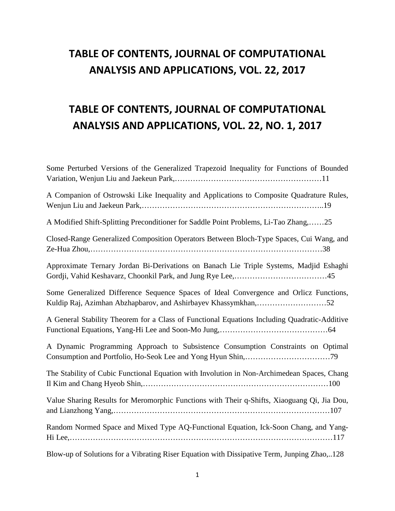### **TABLE OF CONTENTS, JOURNAL OF COMPUTATIONAL ANALYSIS AND APPLICATIONS, VOL. 22, 2017**

## **TABLE OF CONTENTS, JOURNAL OF COMPUTATIONAL ANALYSIS AND APPLICATIONS, VOL. 22, NO. 1, 2017**

| Some Perturbed Versions of the Generalized Trapezoid Inequality for Functions of Bounded                                                                 |
|----------------------------------------------------------------------------------------------------------------------------------------------------------|
| A Companion of Ostrowski Like Inequality and Applications to Composite Quadrature Rules,                                                                 |
| A Modified Shift-Splitting Preconditioner for Saddle Point Problems, Li-Tao Zhang,25                                                                     |
| Closed-Range Generalized Composition Operators Between Bloch-Type Spaces, Cui Wang, and                                                                  |
| Approximate Ternary Jordan Bi-Derivations on Banach Lie Triple Systems, Madjid Eshaghi                                                                   |
| Some Generalized Difference Sequence Spaces of Ideal Convergence and Orlicz Functions,<br>Kuldip Raj, Azimhan Abzhapbarov, and Ashirbayev Khassymkhan,52 |
| A General Stability Theorem for a Class of Functional Equations Including Quadratic-Additive                                                             |
| A Dynamic Programming Approach to Subsistence Consumption Constraints on Optimal                                                                         |
| The Stability of Cubic Functional Equation with Involution in Non-Archimedean Spaces, Chang                                                              |
| Value Sharing Results for Meromorphic Functions with Their q-Shifts, Xiaoguang Qi, Jia Dou,                                                              |
| Random Normed Space and Mixed Type AQ-Functional Equation, Ick-Soon Chang, and Yang-                                                                     |
| Blow-up of Solutions for a Vibrating Riser Equation with Dissipative Term, Junping Zhao,128                                                              |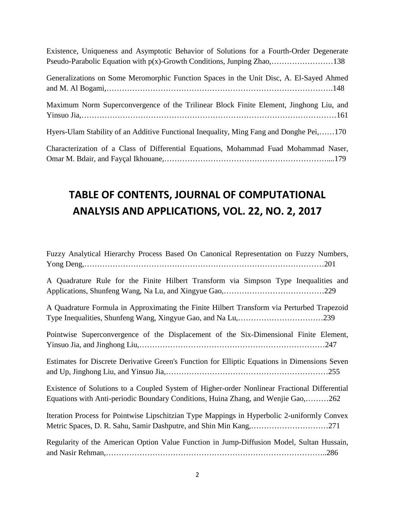Existence, Uniqueness and Asymptotic Behavior of Solutions for a Fourth-Order Degenerate Pseudo-Parabolic Equation with p(x)-Growth Conditions, Junping Zhao,……………………138

Generalizations on Some Meromorphic Function Spaces in the Unit Disc, A. El-Sayed Ahmed and M. Al Bogami,…………………………………………………………………………….148 Maximum Norm Superconvergence of the Trilinear Block Finite Element, Jinghong Liu, and Yinsuo Jia,………………………………………………………………………………………161 Hyers-Ulam Stability of an Additive Functional Inequality, Ming Fang and Donghe Pei,……170

Characterization of a Class of Differential Equations, Mohammad Fuad Mohammad Naser, Omar M. Bdair, and Fayçal Ikhouane,………………………………………………………....179

## **TABLE OF CONTENTS, JOURNAL OF COMPUTATIONAL ANALYSIS AND APPLICATIONS, VOL. 22, NO. 2, 2017**

| Fuzzy Analytical Hierarchy Process Based On Canonical Representation on Fuzzy Numbers,                                                                                            |
|-----------------------------------------------------------------------------------------------------------------------------------------------------------------------------------|
| A Quadrature Rule for the Finite Hilbert Transform via Simpson Type Inequalities and                                                                                              |
| A Quadrature Formula in Approximating the Finite Hilbert Transform via Perturbed Trapezoid                                                                                        |
| Pointwise Superconvergence of the Displacement of the Six-Dimensional Finite Element,                                                                                             |
| Estimates for Discrete Derivative Green's Function for Elliptic Equations in Dimensions Seven                                                                                     |
| Existence of Solutions to a Coupled System of Higher-order Nonlinear Fractional Differential<br>Equations with Anti-periodic Boundary Conditions, Huina Zhang, and Wenjie Gao,262 |
| Iteration Process for Pointwise Lipschitzian Type Mappings in Hyperbolic 2-uniformly Convex<br>Metric Spaces, D. R. Sahu, Samir Dashputre, and Shin Min Kang,271                  |
| Regularity of the American Option Value Function in Jump-Diffusion Model, Sultan Hussain,                                                                                         |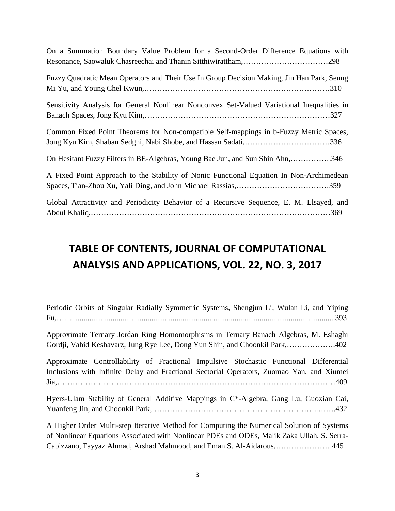| On a Summation Boundary Value Problem for a Second-Order Difference Equations with                                                                       |
|----------------------------------------------------------------------------------------------------------------------------------------------------------|
| Fuzzy Quadratic Mean Operators and Their Use In Group Decision Making, Jin Han Park, Seung                                                               |
| Sensitivity Analysis for General Nonlinear Nonconvex Set-Valued Variational Inequalities in                                                              |
| Common Fixed Point Theorems for Non-compatible Self-mappings in b-Fuzzy Metric Spaces,<br>Jong Kyu Kim, Shaban Sedghi, Nabi Shobe, and Hassan Sadati,336 |
| On Hesitant Fuzzy Filters in BE-Algebras, Young Bae Jun, and Sun Shin Ahn,346                                                                            |
| A Fixed Point Approach to the Stability of Nonic Functional Equation In Non-Archimedean                                                                  |
| Global Attractivity and Periodicity Behavior of a Recursive Sequence, E. M. Elsayed, and                                                                 |

#### **TABLE OF CONTENTS, JOURNAL OF COMPUTATIONAL ANALYSIS AND APPLICATIONS, VOL. 22, NO. 3, 2017**

|  |  | Periodic Orbits of Singular Radially Symmetric Systems, Shengjun Li, Wulan Li, and Yiping |  |  |  |  |
|--|--|-------------------------------------------------------------------------------------------|--|--|--|--|
|  |  |                                                                                           |  |  |  |  |

Approximate Ternary Jordan Ring Homomorphisms in Ternary Banach Algebras, M. Eshaghi Gordji, Vahid Keshavarz, Jung Rye Lee, Dong Yun Shin, and Choonkil Park,……………….402

Approximate Controllability of Fractional Impulsive Stochastic Functional Differential Inclusions with Infinite Delay and Fractional Sectorial Operators, Zuomao Yan, and Xiumei Jia,………………………………………………………………………………………………409

Hyers-Ulam Stability of General Additive Mappings in C\*-Algebra, Gang Lu, Guoxian Cai, Yuanfeng Jin, and Choonkil Park,………………………………………………………..…….432

A Higher Order Multi-step Iterative Method for Computing the Numerical Solution of Systems of Nonlinear Equations Associated with Nonlinear PDEs and ODEs, Malik Zaka Ullah, S. Serra-Capizzano, Fayyaz Ahmad, Arshad Mahmood, and Eman S. Al-Aidarous,………………….445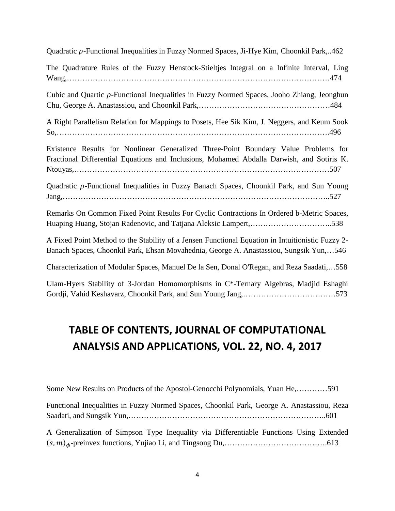Quadratic  $\rho$ -Functional Inequalities in Fuzzy Normed Spaces, Ji-Hye Kim, Choonkil Park,..462

The Quadrature Rules of the Fuzzy Henstock-Stieltjes Integral on a Infinite Interval, Ling Wang,…………………………………………………………………………………………474

Cubic and Quartic  $\rho$ -Functional Inequalities in Fuzzy Normed Spaces, Jooho Zhiang, Jeonghun Chu, George A. Anastassiou, and Choonkil Park,……………………………………………484

A Right Parallelism Relation for Mappings to Posets, Hee Sik Kim, J. Neggers, and Keum Sook So,…………………………………………………………………………………………….496

Existence Results for Nonlinear Generalized Three-Point Boundary Value Problems for Fractional Differential Equations and Inclusions, Mohamed Abdalla Darwish, and Sotiris K. Ntouyas,………………………………………………………………………………………507

Quadratic  $\rho$ -Functional Inequalities in Fuzzy Banach Spaces, Choonkil Park, and Sun Young Jang,…………………………………………………………………………………………..527

Remarks On Common Fixed Point Results For Cyclic Contractions In Ordered b-Metric Spaces, Huaping Huang, Stojan Radenovic, and Tatjana Aleksic Lampert,…………………………..538

A Fixed Point Method to the Stability of a Jensen Functional Equation in Intuitionistic Fuzzy 2- Banach Spaces, Choonkil Park, Ehsan Movahednia, George A. Anastassiou, Sungsik Yun,…546

Characterization of Modular Spaces, Manuel De la Sen, Donal O'Regan, and Reza Saadati,…558

Ulam-Hyers Stability of 3-Jordan Homomorphisms in C\*-Ternary Algebras, Madjid Eshaghi Gordji, Vahid Keshavarz, Choonkil Park, and Sun Young Jang,………………………………573

#### **TABLE OF CONTENTS, JOURNAL OF COMPUTATIONAL ANALYSIS AND APPLICATIONS, VOL. 22, NO. 4, 2017**

Some New Results on Products of the Apostol-Genocchi Polynomials, Yuan He,…………591

Functional Inequalities in Fuzzy Normed Spaces, Choonkil Park, George A. Anastassiou, Reza Saadati, and Sungsik Yun,…………………………………………………………………..601

A Generalization of Simpson Type Inequality via Differentiable Functions Using Extended (, )-preinvex functions, Yujiao Li, and Tingsong Du,………………………………….613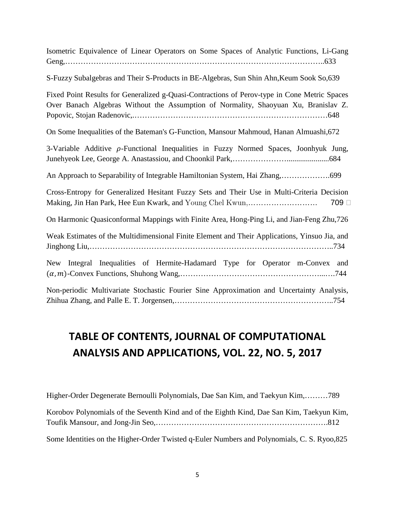| Isometric Equivalence of Linear Operators on Some Spaces of Analytic Functions, Li-Gang |  |  |  |  |
|-----------------------------------------------------------------------------------------|--|--|--|--|
|                                                                                         |  |  |  |  |

S-Fuzzy Subalgebras and Their S-Products in BE-Algebras, Sun Shin Ahn,Keum Sook So,639

Fixed Point Results for Generalized g-Quasi-Contractions of Perov-type in Cone Metric Spaces Over Banach Algebras Without the Assumption of Normality, Shaoyuan Xu, Branislav Z. Popovic, Stojan Radenovic,.…………………………………………………………………648

On Some Inequalities of the Bateman's G-Function, Mansour Mahmoud, Hanan Almuashi,672

3-Variable Additive  $\rho$ -Functional Inequalities in Fuzzy Normed Spaces, Joonhyuk Jung, Junehyeok Lee, George A. Anastassiou, and Choonkil Park,…………………......................684

An Approach to Separability of Integrable Hamiltonian System, Hai Zhang,……………….699

Cross-Entropy for Generalized Hesitant Fuzzy Sets and Their Use in Multi-Criteria Decision Making, Jin Han Park, Hee Eun Kwark, and Young Chel Kwun,……………………… 709

On Harmonic Quasiconformal Mappings with Finite Area, Hong-Ping Li, and Jian-Feng Zhu,726

Weak Estimates of the Multidimensional Finite Element and Their Applications, Yinsuo Jia, and Jinghong Liu,…………………………………………………………………………………..734

New Integral Inequalities of Hermite-Hadamard Type for Operator m-Convex and (, )-Convex Functions, Shuhong Wang,………………………………………………...….744

Non-periodic Multivariate Stochastic Fourier Sine Approximation and Uncertainty Analysis, Zhihua Zhang, and Palle E. T. Jorgensen,……………………………………………………..754

#### **TABLE OF CONTENTS, JOURNAL OF COMPUTATIONAL ANALYSIS AND APPLICATIONS, VOL. 22, NO. 5, 2017**

Higher-Order Degenerate Bernoulli Polynomials, Dae San Kim, and Taekyun Kim,………789 Korobov Polynomials of the Seventh Kind and of the Eighth Kind, Dae San Kim, Taekyun Kim, Toufik Mansour, and Jong-Jin Seo,………………………………………………………….812 Some Identities on the Higher-Order Twisted q-Euler Numbers and Polynomials, C. S. Ryoo,825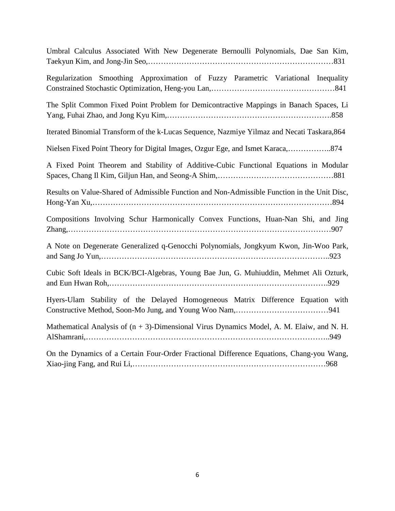| Umbral Calculus Associated With New Degenerate Bernoulli Polynomials, Dae San Kim,           |
|----------------------------------------------------------------------------------------------|
| Regularization Smoothing Approximation of Fuzzy Parametric Variational Inequality            |
| The Split Common Fixed Point Problem for Demicontractive Mappings in Banach Spaces, Li       |
| Iterated Binomial Transform of the k-Lucas Sequence, Nazmiye Yilmaz and Necati Taskara, 864  |
| Nielsen Fixed Point Theory for Digital Images, Ozgur Ege, and Ismet Karaca,874               |
| A Fixed Point Theorem and Stability of Additive-Cubic Functional Equations in Modular        |
| Results on Value-Shared of Admissible Function and Non-Admissible Function in the Unit Disc, |
| Compositions Involving Schur Harmonically Convex Functions, Huan-Nan Shi, and Jing           |
| A Note on Degenerate Generalized q-Genocchi Polynomials, Jongkyum Kwon, Jin-Woo Park,        |
| Cubic Soft Ideals in BCK/BCI-Algebras, Young Bae Jun, G. Muhiuddin, Mehmet Ali Ozturk,       |
| Hyers-Ulam Stability of the Delayed Homogeneous Matrix Difference Equation with              |
| Mathematical Analysis of $(n + 3)$ -Dimensional Virus Dynamics Model, A. M. Elaiw, and N. H. |
| On the Dynamics of a Certain Four-Order Fractional Difference Equations, Chang-you Wang,     |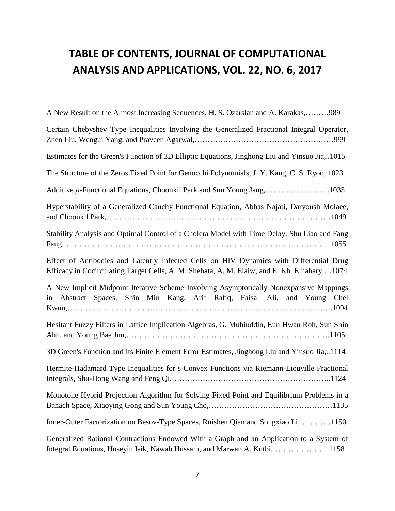# **TABLE OF CONTENTS, JOURNAL OF COMPUTATIONAL ANALYSIS AND APPLICATIONS, VOL. 22, NO. 6, 2017**

| A New Result on the Almost Increasing Sequences, H. S. Ozarslan and A. Karakas,989                                                                                                      |
|-----------------------------------------------------------------------------------------------------------------------------------------------------------------------------------------|
| Certain Chebyshev Type Inequalities Involving the Generalized Fractional Integral Operator,                                                                                             |
| Estimates for the Green's Function of 3D Elliptic Equations, Jinghong Liu and Yinsuo Jia,1015                                                                                           |
| The Structure of the Zeros Fixed Point for Genocchi Polynomials, J. Y. Kang, C. S. Ryoo, 1023                                                                                           |
| Additive $\rho$ -Functional Equations, Choonkil Park and Sun Young Jang,1035                                                                                                            |
| Hyperstability of a Generalized Cauchy Functional Equation, Abbas Najati, Daryoush Molaee,                                                                                              |
| Stability Analysis and Optimal Control of a Cholera Model with Time Delay, Shu Liao and Fang                                                                                            |
| Effect of Antibodies and Latently Infected Cells on HIV Dynamics with Differential Drug<br>Efficacy in Cocirculating Target Cells, A. M. Shehata, A. M. Elaiw, and E. Kh. Elnahary,1074 |
| A New Implicit Midpoint Iterative Scheme Involving Asymptotically Nonexpansive Mappings<br>in Abstract Spaces, Shin Min Kang, Arif Rafiq, Faisal Ali, and Young Chel                    |
| Hesitant Fuzzy Filters in Lattice Implication Algebras, G. Muhiuddin, Eun Hwan Roh, Sun Shin                                                                                            |
| 3D Green's Function and Its Finite Element Error Estimates, Jinghong Liu and Yinsuo Jia,1114                                                                                            |
| Hermite-Hadamard Type Inequalities for s-Convex Functions via Riemann-Liouville Fractional                                                                                              |
| Monotone Hybrid Projection Algorithm for Solving Fixed Point and Equilibrium Problems in a                                                                                              |
| Inner-Outer Factorization on Besov-Type Spaces, Ruishen Qian and Songxiao Li,1150                                                                                                       |
| Generalized Rational Contractions Endowed With a Graph and an Application to a System of<br>Integral Equations, Huseyin Isik, Nawab Hussain, and Marwan A. Kutbi,1158                   |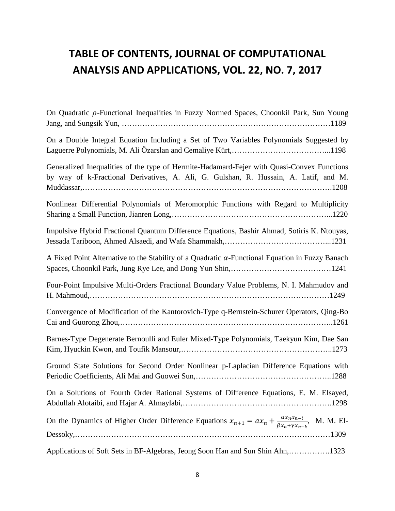## **TABLE OF CONTENTS, JOURNAL OF COMPUTATIONAL ANALYSIS AND APPLICATIONS, VOL. 22, NO. 7, 2017**

| On Quadratic $\rho$ -Functional Inequalities in Fuzzy Normed Spaces, Choonkil Park, Sun Young                                                                                      |
|------------------------------------------------------------------------------------------------------------------------------------------------------------------------------------|
| On a Double Integral Equation Including a Set of Two Variables Polynomials Suggested by                                                                                            |
| Generalized Inequalities of the type of Hermite-Hadamard-Fejer with Quasi-Convex Functions<br>by way of k-Fractional Derivatives, A. Ali, G. Gulshan, R. Hussain, A. Latif, and M. |
| Nonlinear Differential Polynomials of Meromorphic Functions with Regard to Multiplicity                                                                                            |
| Impulsive Hybrid Fractional Quantum Difference Equations, Bashir Ahmad, Sotiris K. Ntouyas,                                                                                        |
| A Fixed Point Alternative to the Stability of a Quadratic $\alpha$ -Functional Equation in Fuzzy Banach                                                                            |
| Four-Point Impulsive Multi-Orders Fractional Boundary Value Problems, N. I. Mahmudov and                                                                                           |
| Convergence of Modification of the Kantorovich-Type q-Bernstein-Schurer Operators, Qing-Bo                                                                                         |
| Barnes-Type Degenerate Bernoulli and Euler Mixed-Type Polynomials, Taekyun Kim, Dae San                                                                                            |
| Ground State Solutions for Second Order Nonlinear p-Laplacian Difference Equations with                                                                                            |
| On a Solutions of Fourth Order Rational Systems of Difference Equations, E. M. Elsayed,                                                                                            |
| On the Dynamics of Higher Order Difference Equations $x_{n+1} = ax_n + \frac{ax_nx_{n-1}}{\beta x_n + \gamma x_{n-k}}$ , M. M. El-                                                 |
| Applications of Soft Sets in BF-Algebras, Jeong Soon Han and Sun Shin Ahn,1323                                                                                                     |